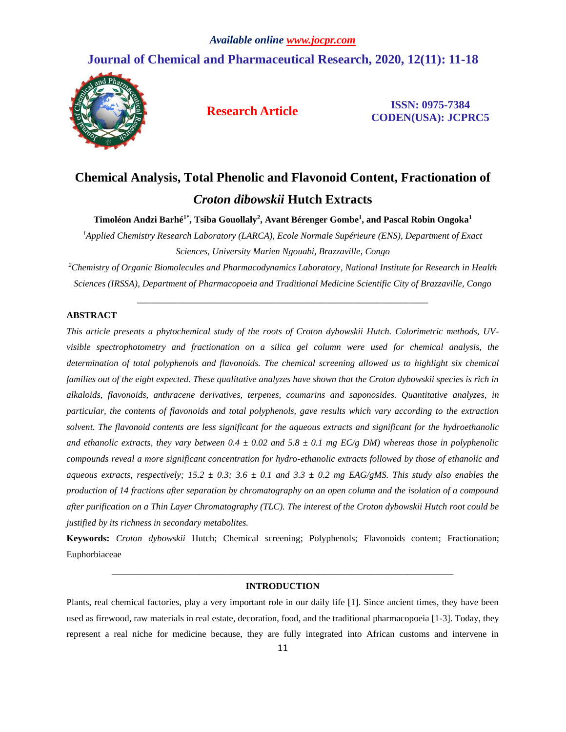# **Journal of Chemical and Pharmaceutical Research, 2020, 12(11): 11-18**



**Research Article ISSN: 0975-7384 CODEN(USA): JCPRC5**

# **Chemical Analysis, Total Phenolic and Flavonoid Content, Fractionation of**  *Croton dibowskii* **Hutch Extracts**

**Timoléon Andzi Barhé1\* , Tsiba Gouollaly<sup>2</sup> , Avant Bérenger Gombe<sup>1</sup> , and Pascal Robin Ongoka<sup>1</sup>**

*<sup>1</sup>Applied Chemistry Research Laboratory (LARCA), Ecole Normale Supérieure (ENS), Department of Exact Sciences, University Marien Ngouabi, Brazzaville, Congo*

*<sup>2</sup>Chemistry of Organic Biomolecules and Pharmacodynamics Laboratory, National Institute for Research in Health Sciences (IRSSA), Department of Pharmacopoeia and Traditional Medicine Scientific City of Brazzaville, Congo*

\_\_\_\_\_\_\_\_\_\_\_\_\_\_\_\_\_\_\_\_\_\_\_\_\_\_\_\_\_\_\_\_\_\_\_\_\_\_\_\_\_\_\_\_\_\_\_\_\_\_\_\_\_\_\_\_\_\_\_\_\_\_\_

# **ABSTRACT**

*This article presents a phytochemical study of the roots of Croton dybowskii Hutch. Colorimetric methods, UVvisible spectrophotometry and fractionation on a silica gel column were used for chemical analysis, the determination of total polyphenols and flavonoids. The chemical screening allowed us to highlight six chemical*  families out of the eight expected. These qualitative analyzes have shown that the Croton dybowskii species is rich in *alkaloids, flavonoids, anthracene derivatives, terpenes, coumarins and saponosides. Quantitative analyzes, in particular, the contents of flavonoids and total polyphenols, gave results which vary according to the extraction solvent. The flavonoid contents are less significant for the aqueous extracts and significant for the hydroethanolic*  and ethanolic extracts, they vary between  $0.4 \pm 0.02$  and  $5.8 \pm 0.1$  mg EC/g DM) whereas those in polyphenolic *compounds reveal a more significant concentration for hydro-ethanolic extracts followed by those of ethanolic and aqueous extracts, respectively;*  $15.2 \pm 0.3$ ;  $3.6 \pm 0.1$  and  $3.3 \pm 0.2$  mg EAG/gMS. This study also enables the *production of 14 fractions after separation by chromatography on an open column and the isolation of a compound after purification on a Thin Layer Chromatography (TLC). The interest of the Croton dybowskii Hutch root could be justified by its richness in secondary metabolites.*

**Keywords:** *Croton dybowskii* Hutch; Chemical screening; Polyphenols; Flavonoids content; Fractionation; Euphorbiaceae

# *\_\_\_\_\_\_\_\_\_\_\_\_\_\_\_\_\_\_\_\_\_\_\_\_\_\_\_\_\_\_\_\_\_\_\_\_\_\_\_\_\_\_\_\_\_\_\_\_\_\_\_\_\_\_\_\_\_\_\_\_\_\_\_\_\_\_\_\_\_\_\_\_\_\_* **INTRODUCTION**

Plants, real chemical factories, play a very important role in our daily life [1]. Since ancient times, they have been used as firewood, raw materials in real estate, decoration, food, and the traditional pharmacopoeia [1-3]. Today, they represent a real niche for medicine because, they are fully integrated into African customs and intervene in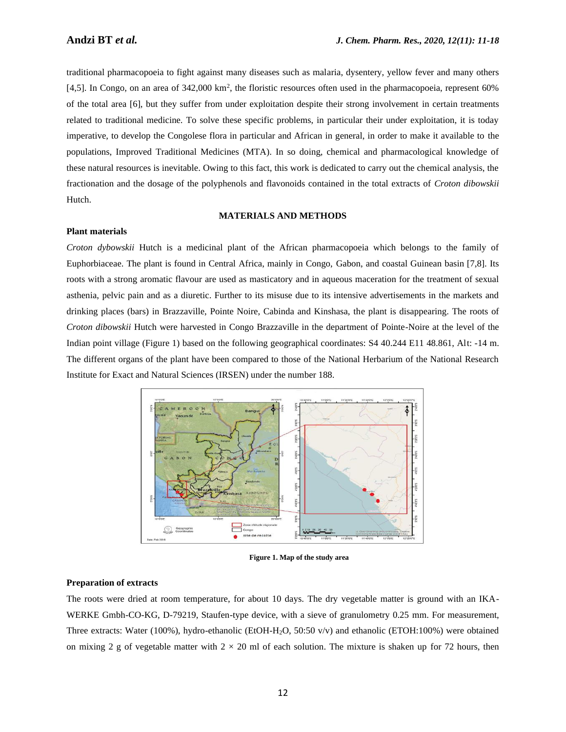traditional pharmacopoeia to fight against many diseases such as malaria, dysentery, yellow fever and many others [4,5]. In Congo, on an area of 342,000 km<sup>2</sup>, the floristic resources often used in the pharmacopoeia, represent 60% of the total area [6], but they suffer from under exploitation despite their strong involvement in certain treatments related to traditional medicine. To solve these specific problems, in particular their under exploitation, it is today imperative, to develop the Congolese flora in particular and African in general, in order to make it available to the populations, Improved Traditional Medicines (MTA). In so doing, chemical and pharmacological knowledge of these natural resources is inevitable. Owing to this fact, this work is dedicated to carry out the chemical analysis, the fractionation and the dosage of the polyphenols and flavonoids contained in the total extracts of *Croton dibowskii* Hutch.

# **MATERIALS AND METHODS**

#### **Plant materials**

*Croton dybowskii* Hutch is a medicinal plant of the African pharmacopoeia which belongs to the family of Euphorbiaceae. The plant is found in Central Africa, mainly in Congo, Gabon, and coastal Guinean basin [7,8]. Its roots with a strong aromatic flavour are used as masticatory and in aqueous maceration for the treatment of sexual asthenia, pelvic pain and as a diuretic. Further to its misuse due to its intensive advertisements in the markets and drinking places (bars) in Brazzaville, Pointe Noire, Cabinda and Kinshasa, the plant is disappearing. The roots of *Croton dibowskii* Hutch were harvested in Congo Brazzaville in the department of Pointe-Noire at the level of the Indian point village (Figure 1) based on the following geographical coordinates: S4 40.244 E11 48.861, Alt: -14 m. The different organs of the plant have been compared to those of the National Herbarium of the National Research Institute for Exact and Natural Sciences (IRSEN) under the number 188.



**Figure 1. Map of the study area**

#### **Preparation of extracts**

The roots were dried at room temperature, for about 10 days. The dry vegetable matter is ground with an IKA-WERKE Gmbh-CO-KG, D-79219, Staufen-type device, with a sieve of granulometry 0.25 mm. For measurement, Three extracts: Water (100%), hydro-ethanolic (EtOH-H2O, 50:50 v/v) and ethanolic (ETOH:100%) were obtained on mixing 2 g of vegetable matter with  $2 \times 20$  ml of each solution. The mixture is shaken up for 72 hours, then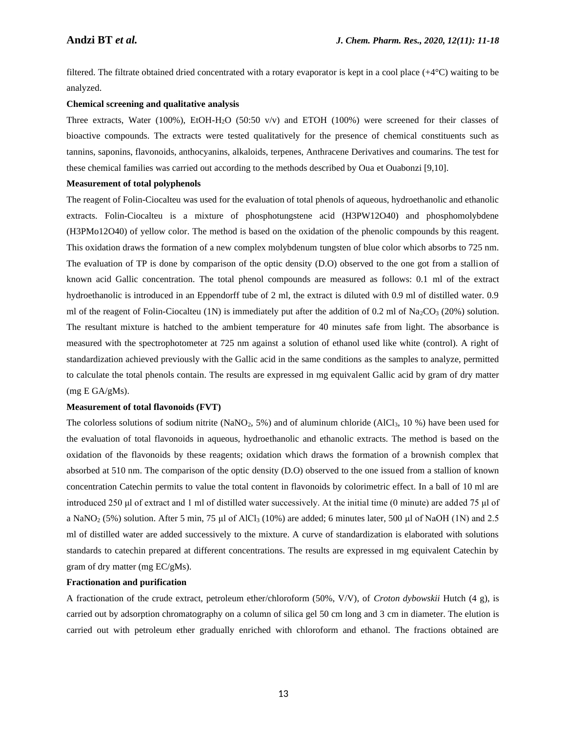filtered. The filtrate obtained dried concentrated with a rotary evaporator is kept in a cool place (+4°C) waiting to be analyzed.

#### **Chemical screening and qualitative analysis**

Three extracts, Water (100%), EtOH-H<sub>2</sub>O (50:50 v/v) and ETOH (100%) were screened for their classes of bioactive compounds. The extracts were tested qualitatively for the presence of chemical constituents such as tannins, saponins, flavonoids, anthocyanins, alkaloids, terpenes, Anthracene Derivatives and coumarins. The test for these chemical families was carried out according to the methods described by Oua et Ouabonzi [9,10].

# **Measurement of total polyphenols**

The reagent of Folin-Ciocalteu was used for the evaluation of total phenols of aqueous, hydroethanolic and ethanolic extracts. Folin-Ciocalteu is a mixture of phosphotungstene acid (H3PW12O40) and phosphomolybdene (H3PMo12O40) of yellow color. The method is based on the oxidation of the phenolic compounds by this reagent. This oxidation draws the formation of a new complex molybdenum tungsten of blue color which absorbs to 725 nm. The evaluation of TP is done by comparison of the optic density (D.O) observed to the one got from a stallion of known acid Gallic concentration. The total phenol compounds are measured as follows: 0.1 ml of the extract hydroethanolic is introduced in an Eppendorff tube of 2 ml, the extract is diluted with 0.9 ml of distilled water. 0.9 ml of the reagent of Folin-Ciocalteu (1N) is immediately put after the addition of 0.2 ml of  $Na_2CO_3$  (20%) solution. The resultant mixture is hatched to the ambient temperature for 40 minutes safe from light. The absorbance is measured with the spectrophotometer at 725 nm against a solution of ethanol used like white (control). A right of standardization achieved previously with the Gallic acid in the same conditions as the samples to analyze, permitted to calculate the total phenols contain. The results are expressed in mg equivalent Gallic acid by gram of dry matter (mg E GA/gMs).

#### **Measurement of total flavonoids (FVT)**

The colorless solutions of sodium nitrite (NaNO<sub>2</sub>, 5%) and of aluminum chloride (AlCl<sub>3</sub>, 10 %) have been used for the evaluation of total flavonoids in aqueous, hydroethanolic and ethanolic extracts. The method is based on the oxidation of the flavonoids by these reagents; oxidation which draws the formation of a brownish complex that absorbed at 510 nm. The comparison of the optic density (D.O) observed to the one issued from a stallion of known concentration Catechin permits to value the total content in flavonoids by colorimetric effect. In a ball of 10 ml are introduced 250 μl of extract and 1 ml of distilled water successively. At the initial time (0 minute) are added 75 μl of a NaNO<sub>2</sub> (5%) solution. After 5 min, 75 μl of AlCl<sub>3</sub> (10%) are added; 6 minutes later, 500 μl of NaOH (1N) and 2.5 ml of distilled water are added successively to the mixture. A curve of standardization is elaborated with solutions standards to catechin prepared at different concentrations. The results are expressed in mg equivalent Catechin by gram of dry matter (mg EC/gMs).

#### **Fractionation and purification**

A fractionation of the crude extract, petroleum ether/chloroform (50%, V/V), of *Croton dybowskii* Hutch (4 g), is carried out by adsorption chromatography on a column of silica gel 50 cm long and 3 cm in diameter. The elution is carried out with petroleum ether gradually enriched with chloroform and ethanol. The fractions obtained are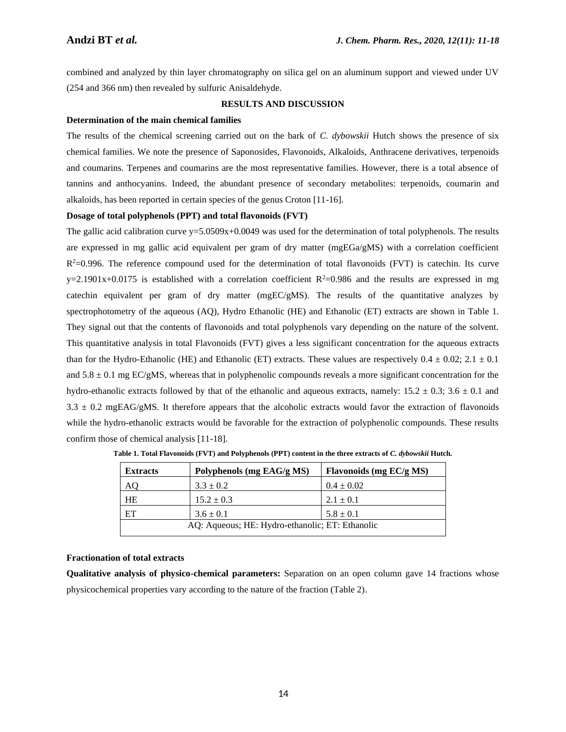combined and analyzed by thin layer chromatography on silica gel on an aluminum support and viewed under UV (254 and 366 nm) then revealed by sulfuric Anisaldehyde.

## **RESULTS AND DISCUSSION**

#### **Determination of the main chemical families**

The results of the chemical screening carried out on the bark of *C. dybowskii* Hutch shows the presence of six chemical families. We note the presence of Saponosides, Flavonoids, Alkaloids, Anthracene derivatives, terpenoids and coumarins. Terpenes and coumarins are the most representative families. However, there is a total absence of tannins and anthocyanins. Indeed, the abundant presence of secondary metabolites: terpenoids, coumarin and alkaloids, has been reported in certain species of the genus Croton [11-16].

## **Dosage of total polyphenols (PPT) and total flavonoids (FVT)**

The gallic acid calibration curve  $y=5.0509x+0.0049$  was used for the determination of total polyphenols. The results are expressed in mg gallic acid equivalent per gram of dry matter (mgEGa/gMS) with a correlation coefficient  $R<sup>2</sup>=0.996$ . The reference compound used for the determination of total flavonoids (FVT) is catechin. Its curve y=2.1901x+0.0175 is established with a correlation coefficient  $R^2$ =0.986 and the results are expressed in mg catechin equivalent per gram of dry matter (mgEC/gMS). The results of the quantitative analyzes by spectrophotometry of the aqueous (AQ), Hydro Ethanolic (HE) and Ethanolic (ET) extracts are shown in Table 1. They signal out that the contents of flavonoids and total polyphenols vary depending on the nature of the solvent. This quantitative analysis in total Flavonoids (FVT) gives a less significant concentration for the aqueous extracts than for the Hydro-Ethanolic (HE) and Ethanolic (ET) extracts. These values are respectively  $0.4 \pm 0.02$ ;  $2.1 \pm 0.1$ and  $5.8 \pm 0.1$  mg EC/gMS, whereas that in polyphenolic compounds reveals a more significant concentration for the hydro-ethanolic extracts followed by that of the ethanolic and aqueous extracts, namely:  $15.2 \pm 0.3$ ;  $3.6 \pm 0.1$  and  $3.3 \pm 0.2$  mgEAG/gMS. It therefore appears that the alcoholic extracts would favor the extraction of flavonoids while the hydro-ethanolic extracts would be favorable for the extraction of polyphenolic compounds. These results confirm those of chemical analysis [11-18].

| <b>Extracts</b>                                 | Polyphenols (mg EAG/g MS) | Flavonoids (mg EC/g MS) |  |  |
|-------------------------------------------------|---------------------------|-------------------------|--|--|
| AO                                              | $3.3 \pm 0.2$             | $0.4 \pm 0.02$          |  |  |
| HE                                              | $15.2 \pm 0.3$            | $2.1 \pm 0.1$           |  |  |
| ET                                              | $3.6 \pm 0.1$             | $5.8 \pm 0.1$           |  |  |
| AQ: Aqueous; HE: Hydro-ethanolic; ET: Ethanolic |                           |                         |  |  |

Table 1. Total Flavonoids (FVT) and Polyphenols (PPT) content in the three extracts of *C. dybowskii* Hutch.

# **Fractionation of total extracts**

**Qualitative analysis of physico-chemical parameters:** Separation on an open column gave 14 fractions whose physicochemical properties vary according to the nature of the fraction (Table 2).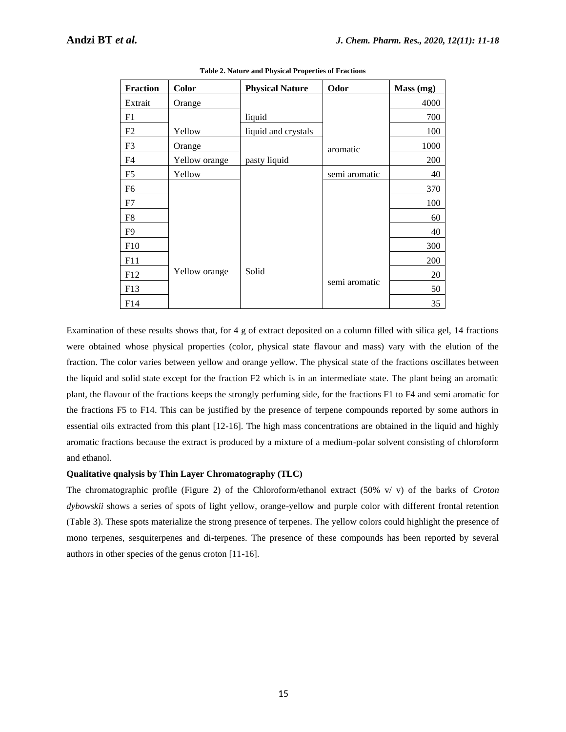| <b>Fraction</b> | Color         | <b>Physical Nature</b> | Odor          | Mass (mg) |
|-----------------|---------------|------------------------|---------------|-----------|
| Extrait         | Orange        |                        |               | 4000      |
| F1              |               | liquid                 |               | 700       |
| F2              | Yellow        | liquid and crystals    |               | 100       |
| F3              | Orange        |                        | aromatic      | 1000      |
| F <sub>4</sub>  | Yellow orange | pasty liquid           |               | 200       |
| F <sub>5</sub>  | Yellow        |                        | semi aromatic | 40        |
| F6              |               |                        |               | 370       |
| F7              |               |                        |               | 100       |
| F8              |               |                        |               | 60        |
| F9              |               |                        |               | 40        |
| F10             |               |                        |               | 300       |
| F11             |               |                        |               | 200       |
| F12             | Yellow orange | Solid                  |               | 20        |
| F13             |               |                        | semi aromatic | 50        |
| F14             |               |                        |               | 35        |

**Table 2. Nature and Physical Properties of Fractions**

Examination of these results shows that, for 4 g of extract deposited on a column filled with silica gel, 14 fractions were obtained whose physical properties (color, physical state flavour and mass) vary with the elution of the fraction. The color varies between yellow and orange yellow. The physical state of the fractions oscillates between the liquid and solid state except for the fraction F2 which is in an intermediate state. The plant being an aromatic plant, the flavour of the fractions keeps the strongly perfuming side, for the fractions F1 to F4 and semi aromatic for the fractions F5 to F14. This can be justified by the presence of terpene compounds reported by some authors in essential oils extracted from this plant [12-16]. The high mass concentrations are obtained in the liquid and highly aromatic fractions because the extract is produced by a mixture of a medium-polar solvent consisting of chloroform and ethanol.

# **Qualitative qnalysis by Thin Layer Chromatography (TLC)**

The chromatographic profile (Figure 2) of the Chloroform/ethanol extract (50% v/ v) of the barks of *Croton dybowskii* shows a series of spots of light yellow, orange-yellow and purple color with different frontal retention (Table 3). These spots materialize the strong presence of terpenes. The yellow colors could highlight the presence of mono terpenes, sesquiterpenes and di-terpenes. The presence of these compounds has been reported by several authors in other species of the genus croton [11-16].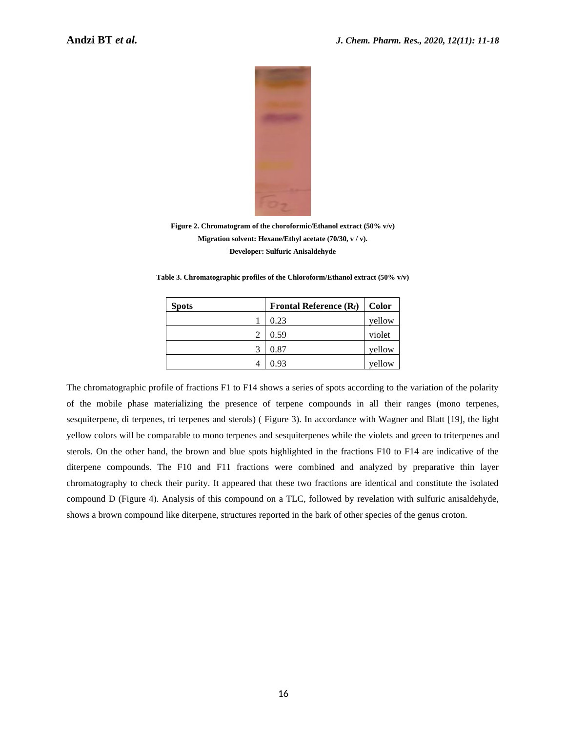

**Figure 2. Chromatogram of the choroformic/Ethanol extract (50% v/v) Migration solvent: Hexane/Ethyl acetate (70/30, v / v). Developer: Sulfuric Anisaldehyde**

**Table 3. Chromatographic profiles of the Chloroform/Ethanol extract (50% v/v)**

| <b>Spots</b> | Frontal Reference $(R_f)$ | Color  |
|--------------|---------------------------|--------|
|              | 0.23                      | yellow |
|              | 0.59                      | violet |
|              | 0.87                      | vellow |
|              | 0.93                      | yellow |

The chromatographic profile of fractions F1 to F14 shows a series of spots according to the variation of the polarity of the mobile phase materializing the presence of terpene compounds in all their ranges (mono terpenes, sesquiterpene, di terpenes, tri terpenes and sterols) ( Figure 3). In accordance with Wagner and Blatt [19], the light yellow colors will be comparable to mono terpenes and sesquiterpenes while the violets and green to triterpenes and sterols. On the other hand, the brown and blue spots highlighted in the fractions F10 to F14 are indicative of the diterpene compounds. The F10 and F11 fractions were combined and analyzed by preparative thin layer chromatography to check their purity. It appeared that these two fractions are identical and constitute the isolated compound D (Figure 4). Analysis of this compound on a TLC, followed by revelation with sulfuric anisaldehyde, shows a brown compound like diterpene, structures reported in the bark of other species of the genus croton.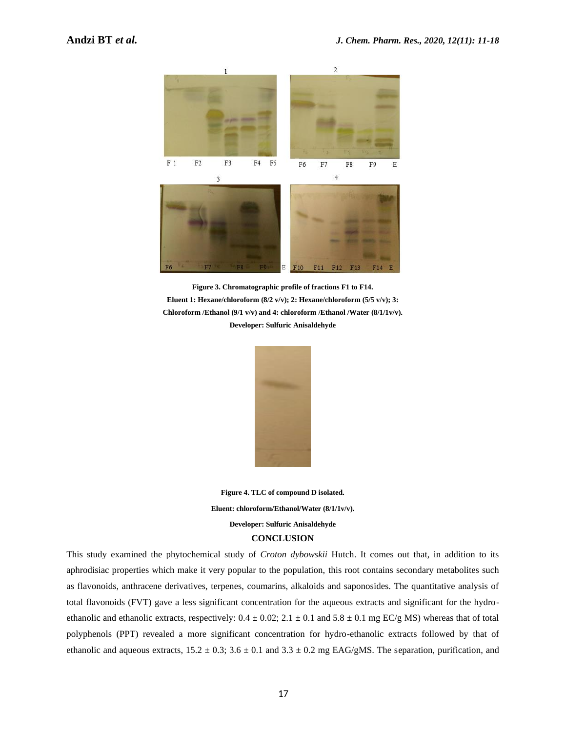

**Figure 3. Chromatographic profile of fractions F1 to F14. Eluent 1: Hexane/chloroform (8/2 v/v); 2: Hexane/chloroform (5/5 v/v); 3: Chloroform /Ethanol (9/1 v/v) and 4: chloroform /Ethanol /Water (8/1/1v/v). Developer: Sulfuric Anisaldehyde**



**Figure 4. TLC of compound D isolated. Eluent: chloroform/Ethanol/Water (8/1/1v/v). Developer: Sulfuric Anisaldehyde CONCLUSION**

This study examined the phytochemical study of *Croton dybowskii* Hutch. It comes out that, in addition to its aphrodisiac properties which make it very popular to the population, this root contains secondary metabolites such as flavonoids, anthracene derivatives, terpenes, coumarins, alkaloids and saponosides. The quantitative analysis of total flavonoids (FVT) gave a less significant concentration for the aqueous extracts and significant for the hydroethanolic and ethanolic extracts, respectively:  $0.4 \pm 0.02$ ;  $2.1 \pm 0.1$  and  $5.8 \pm 0.1$  mg EC/g MS) whereas that of total polyphenols (PPT) revealed a more significant concentration for hydro-ethanolic extracts followed by that of ethanolic and aqueous extracts,  $15.2 \pm 0.3$ ;  $3.6 \pm 0.1$  and  $3.3 \pm 0.2$  mg EAG/gMS. The separation, purification, and